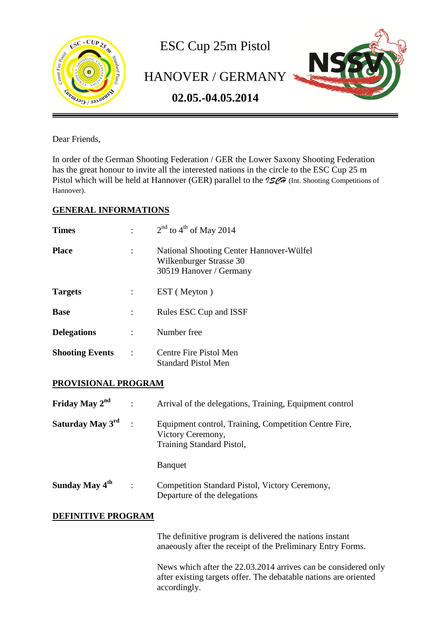

Dear Friends,

In order of the German Shooting Federation / GER the Lower Saxony Shooting Federation has the great honour to invite all the interested nations in the circle to the ESC Cup 25 m Pistol which will be held at Hannover (GER) parallel to the  $15\%$  (Int. Shooting Competitions of Hannover).

## **GENERAL INFORMATIONS**

| <b>Times</b>           |           | $2nd$ to 4 <sup>th</sup> of May 2014                                                           |
|------------------------|-----------|------------------------------------------------------------------------------------------------|
| <b>Place</b>           |           | National Shooting Center Hannover-Wülfel<br>Wilkenburger Strasse 30<br>30519 Hanover / Germany |
| <b>Targets</b>         |           | EST (Meyton)                                                                                   |
| <b>Base</b>            |           | Rules ESC Cup and ISSF                                                                         |
| <b>Delegations</b>     |           | Number free                                                                                    |
| <b>Shooting Events</b> | $\cdot$ : | Centre Fire Pistol Men<br>Standard Pistol Men                                                  |

## **PROVISIONAL PROGRAM**

| Friday May $2nd$           |                      | Arrival of the delegations, Training, Equipment control                                                 |
|----------------------------|----------------------|---------------------------------------------------------------------------------------------------------|
| Saturday May 3rd           |                      | Equipment control, Training, Competition Centre Fire,<br>Victory Ceremony,<br>Training Standard Pistol, |
|                            |                      | <b>B</b> anquet                                                                                         |
| Sunday May 4 <sup>th</sup> | $\ddot{\phantom{a}}$ | Competition Standard Pistol, Victory Ceremony,<br>Departure of the delegations                          |

## **DEFINITIVE PROGRAM**

The definitive program is delivered the nations instant anaeously after the receipt of the Preliminary Entry Forms.

News which after the 22.03.2014 arrives can be considered only after existing targets offer. The debatable nations are oriented accordingly.